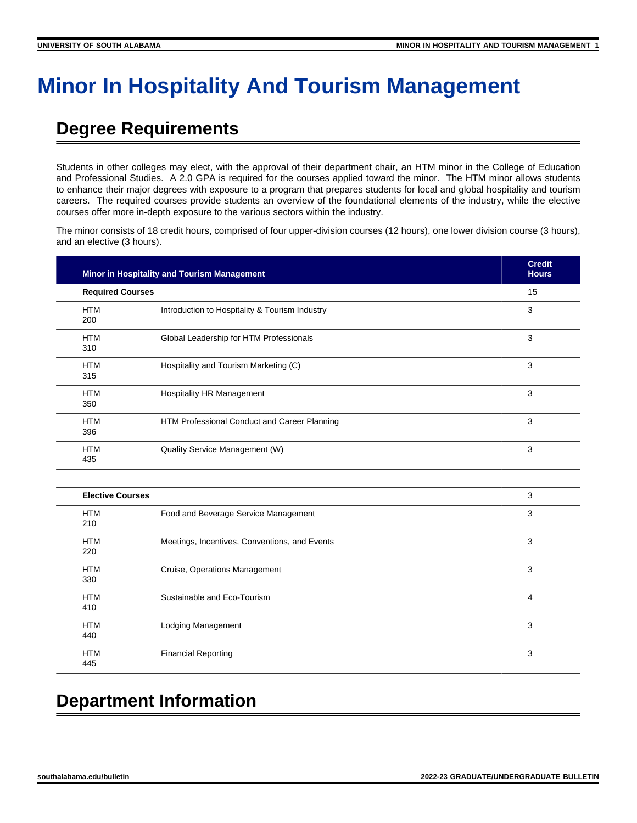# **Minor In Hospitality And Tourism Management**

# **Degree Requirements**

Students in other colleges may elect, with the approval of their department chair, an HTM minor in the College of Education and Professional Studies. A 2.0 GPA is required for the courses applied toward the minor. The HTM minor allows students to enhance their major degrees with exposure to a program that prepares students for local and global hospitality and tourism careers. The required courses provide students an overview of the foundational elements of the industry, while the elective courses offer more in-depth exposure to the various sectors within the industry.

The minor consists of 18 credit hours, comprised of four upper-division courses (12 hours), one lower division course (3 hours), and an elective (3 hours).

| Minor in Hospitality and Tourism Management<br><b>Required Courses</b> |                                                | <b>Credit</b><br><b>Hours</b> |
|------------------------------------------------------------------------|------------------------------------------------|-------------------------------|
|                                                                        |                                                | 15                            |
| <b>HTM</b><br>200                                                      | Introduction to Hospitality & Tourism Industry | 3                             |
| <b>HTM</b><br>310                                                      | Global Leadership for HTM Professionals        | 3                             |
| <b>HTM</b><br>315                                                      | Hospitality and Tourism Marketing (C)          | 3                             |
| <b>HTM</b><br>350                                                      | <b>Hospitality HR Management</b>               | 3                             |
| <b>HTM</b><br>396                                                      | HTM Professional Conduct and Career Planning   | 3                             |
| <b>HTM</b><br>435                                                      | Quality Service Management (W)                 | 3                             |
| <b>Elective Courses</b>                                                |                                                | 3                             |
| <b>HTM</b><br>210                                                      | Food and Beverage Service Management           | 3                             |
| <b>HTM</b><br>220                                                      | Meetings, Incentives, Conventions, and Events  | 3                             |
| <b>HTM</b>                                                             | Cruise, Operations Management                  | 3                             |

| .<br>330          | Graise, operations management | $\sim$ |
|-------------------|-------------------------------|--------|
| <b>HTM</b><br>410 | Sustainable and Eco-Tourism   | 4      |
| <b>HTM</b><br>440 | Lodging Management            | 3      |
| <b>HTM</b><br>445 | <b>Financial Reporting</b>    | 3      |

# **Department Information**